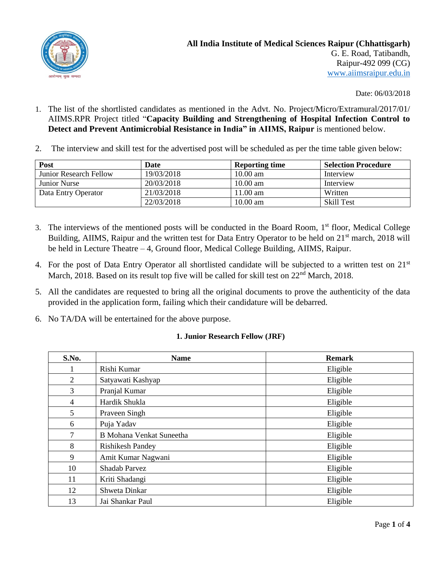

Date: 06/03/2018

- 1. The list of the shortlisted candidates as mentioned in the Advt. No. Project/Micro/Extramural/2017/01/ AIIMS.RPR Project titled "**Capacity Building and Strengthening of Hospital Infection Control to Detect and Prevent Antimicrobial Resistance in India" in AIIMS, Raipur** is mentioned below.
- 2. The interview and skill test for the advertised post will be scheduled as per the time table given below:

| Post                          | Date       | <b>Reporting time</b> | <b>Selection Procedure</b> |
|-------------------------------|------------|-----------------------|----------------------------|
| <b>Junior Research Fellow</b> | 19/03/2018 | $10.00$ am            | Interview                  |
| Junior Nurse                  | 20/03/2018 | $10.00$ am            | Interview                  |
| Data Entry Operator           | 21/03/2018 | 11.00 am              | Written                    |
|                               | 22/03/2018 | $10.00$ am            | <b>Skill Test</b>          |

- 3. The interviews of the mentioned posts will be conducted in the Board Room, 1st floor, Medical College Building, AIIMS, Raipur and the written test for Data Entry Operator to be held on 21<sup>st</sup> march, 2018 will be held in Lecture Theatre – 4, Ground floor, Medical College Building, AIIMS, Raipur.
- 4. For the post of Data Entry Operator all shortlisted candidate will be subjected to a written test on 21<sup>st</sup> March, 2018. Based on its result top five will be called for skill test on 22<sup>nd</sup> March, 2018.
- 5. All the candidates are requested to bring all the original documents to prove the authenticity of the data provided in the application form, failing which their candidature will be debarred.
- 6. No TA/DA will be entertained for the above purpose.

## **1. Junior Research Fellow (JRF)**

| S.No. | <b>Name</b>                     | <b>Remark</b> |
|-------|---------------------------------|---------------|
|       | Rishi Kumar                     | Eligible      |
| 2     | Satyawati Kashyap               | Eligible      |
| 3     | Pranjal Kumar                   | Eligible      |
| 4     | Hardik Shukla                   | Eligible      |
| 5     | Praveen Singh                   | Eligible      |
| 6     | Puja Yadav                      | Eligible      |
| 7     | <b>B Mohana Venkat Suneetha</b> | Eligible      |
| 8     | <b>Rishikesh Pandey</b>         | Eligible      |
| 9     | Amit Kumar Nagwani              | Eligible      |
| 10    | Shadab Parvez                   | Eligible      |
| 11    | Kriti Shadangi                  | Eligible      |
| 12    | Shweta Dinkar                   | Eligible      |
| 13    | Jai Shankar Paul                | Eligible      |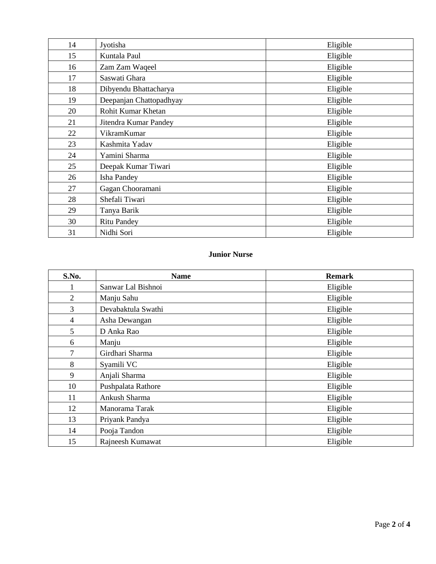| 14 | Jyotisha                | Eligible |
|----|-------------------------|----------|
| 15 | Kuntala Paul            | Eligible |
| 16 | Zam Zam Waqeel          | Eligible |
| 17 | Saswati Ghara           | Eligible |
| 18 | Dibyendu Bhattacharya   | Eligible |
| 19 | Deepanjan Chattopadhyay | Eligible |
| 20 | Rohit Kumar Khetan      | Eligible |
| 21 | Jitendra Kumar Pandey   | Eligible |
| 22 | VikramKumar             | Eligible |
| 23 | Kashmita Yadav          | Eligible |
| 24 | Yamini Sharma           | Eligible |
| 25 | Deepak Kumar Tiwari     | Eligible |
| 26 | Isha Pandey             | Eligible |
| 27 | Gagan Chooramani        | Eligible |
| 28 | Shefali Tiwari          | Eligible |
| 29 | Tanya Barik             | Eligible |
| 30 | <b>Ritu Pandey</b>      | Eligible |
| 31 | Nidhi Sori              | Eligible |

## **Junior Nurse**

| S.No.          | <b>Name</b>        | <b>Remark</b> |
|----------------|--------------------|---------------|
| T              | Sanwar Lal Bishnoi | Eligible      |
| 2              | Manju Sahu         | Eligible      |
| 3              | Devabaktula Swathi | Eligible      |
| $\overline{4}$ | Asha Dewangan      | Eligible      |
| 5              | D Anka Rao         | Eligible      |
| 6              | Manju              | Eligible      |
| 7              | Girdhari Sharma    | Eligible      |
| 8              | Syamili VC         | Eligible      |
| 9              | Anjali Sharma      | Eligible      |
| 10             | Pushpalata Rathore | Eligible      |
| 11             | Ankush Sharma      | Eligible      |
| 12             | Manorama Tarak     | Eligible      |
| 13             | Priyank Pandya     | Eligible      |
| 14             | Pooja Tandon       | Eligible      |
| 15             | Rajneesh Kumawat   | Eligible      |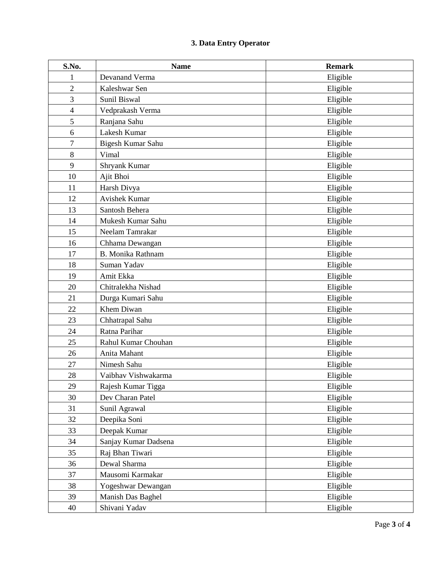## **3. Data Entry Operator**

| S.No.          | <b>Name</b>              | <b>Remark</b> |
|----------------|--------------------------|---------------|
| 1              | Devanand Verma           | Eligible      |
| $\overline{2}$ | Kaleshwar Sen            | Eligible      |
| 3              | <b>Sunil Biswal</b>      | Eligible      |
| $\overline{4}$ | Vedprakash Verma         | Eligible      |
| 5              | Ranjana Sahu             | Eligible      |
| 6              | Lakesh Kumar             | Eligible      |
| 7              | Bigesh Kumar Sahu        | Eligible      |
| 8              | Vimal                    | Eligible      |
| 9              | Shryank Kumar            | Eligible      |
| 10             | Ajit Bhoi                | Eligible      |
| 11             | Harsh Divya              | Eligible      |
| 12             | <b>Avishek Kumar</b>     | Eligible      |
| 13             | Santosh Behera           | Eligible      |
| 14             | Mukesh Kumar Sahu        | Eligible      |
| 15             | Neelam Tamrakar          | Eligible      |
| 16             | Chhama Dewangan          | Eligible      |
| 17             | <b>B.</b> Monika Rathnam | Eligible      |
| 18             | Suman Yadav              | Eligible      |
| 19             | Amit Ekka                | Eligible      |
| 20             | Chitralekha Nishad       | Eligible      |
| 21             | Durga Kumari Sahu        | Eligible      |
| 22             | <b>Khem Diwan</b>        | Eligible      |
| 23             | Chhatrapal Sahu          | Eligible      |
| 24             | Ratna Parihar            | Eligible      |
| 25             | Rahul Kumar Chouhan      | Eligible      |
| 26             | Anita Mahant             | Eligible      |
| 27             | Nimesh Sahu              | Eligible      |
| 28             | Vaibhav Vishwakarma      | Eligible      |
| 29             | Rajesh Kumar Tigga       | Eligible      |
| 30             | Dev Charan Patel         | Eligible      |
| 31             | Sunil Agrawal            | Eligible      |
| 32             | Deepika Soni             | Eligible      |
| 33             | Deepak Kumar             | Eligible      |
| 34             | Sanjay Kumar Dadsena     | Eligible      |
| 35             | Raj Bhan Tiwari          | Eligible      |
| 36             | Dewal Sharma             | Eligible      |
| 37             | Mausomi Karmakar         | Eligible      |
| 38             | Yogeshwar Dewangan       | Eligible      |
| 39             | Manish Das Baghel        | Eligible      |
| 40             | Shivani Yadav            | Eligible      |